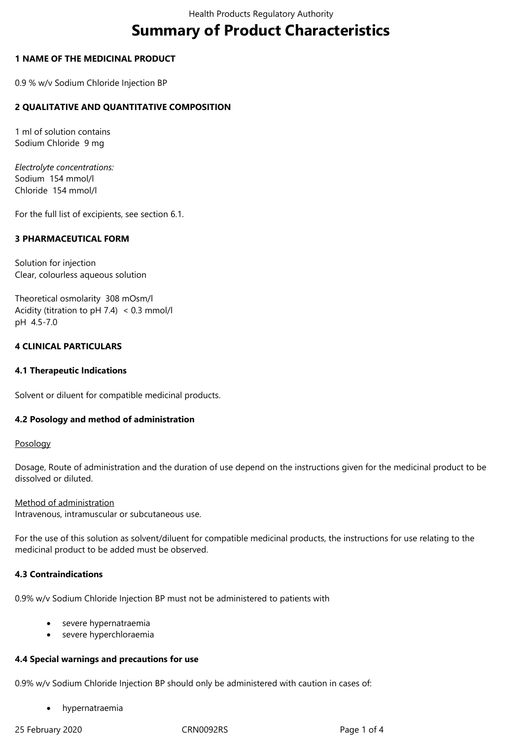# **Summary of Product Characteristics**

# **1 NAME OF THE MEDICINAL PRODUCT**

0.9 % w/v Sodium Chloride Injection BP

# **2 QUALITATIVE AND QUANTITATIVE COMPOSITION**

1 ml of solution contains Sodium Chloride 9 mg

*Electrolyte concentrations:* Sodium 154 mmol/l Chloride 154 mmol/l

For the full list of excipients, see section 6.1.

# **3 PHARMACEUTICAL FORM**

Solution for injection Clear, colourless aqueous solution

Theoretical osmolarity 308 mOsm/l Acidity (titration to pH 7.4) < 0.3 mmol/l pH 4.5‑7.0

# **4 CLINICAL PARTICULARS**

# **4.1 Therapeutic Indications**

Solvent or diluent for compatible medicinal products.

# **4.2 Posology and method of administration**

# Posology

Dosage, Route of administration and the duration of use depend on the instructions given for the medicinal product to be dissolved or diluted.

# Method of administration

Intravenous, intramuscular or subcutaneous use.

For the use of this solution as solvent/diluent for compatible medicinal products, the instructions for use relating to the medicinal product to be added must be observed.

# **4.3 Contraindications**

0.9% w/v Sodium Chloride Injection BP must not be administered to patients with

- severe hypernatraemia
- severe hyperchloraemia

# **4.4 Special warnings and precautions for use**

0.9% w/v Sodium Chloride Injection BP should only be administered with caution in cases of:

hypernatraemia

25 February 2020 CRN0092RS Page 1 of 4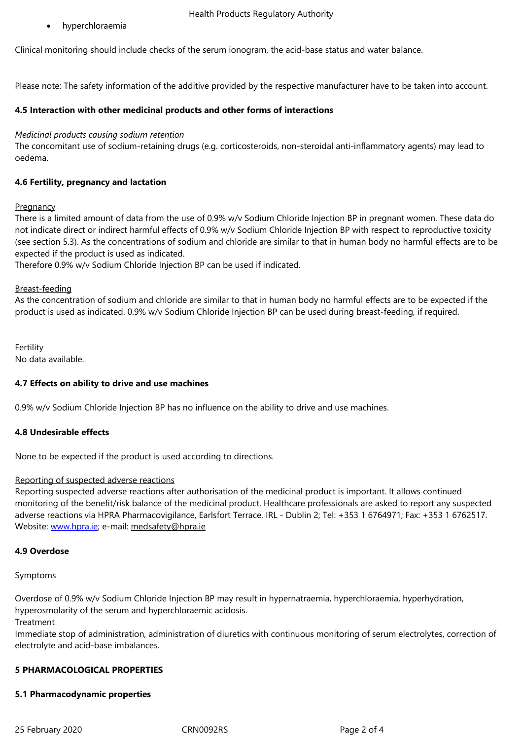Clinical monitoring should include checks of the serum ionogram, the acid-base status and water balance.

Please note: The safety information of the additive provided by the respective manufacturer have to be taken into account.

# **4.5 Interaction with other medicinal products and other forms of interactions**

## *Medicinal products causing sodium retention*

The concomitant use of sodium-retaining drugs (e.g. corticosteroids, non-steroidal anti-inflammatory agents) may lead to oedema.

# **4.6 Fertility, pregnancy and lactation**

#### **Pregnancy**

There is a limited amount of data from the use of 0.9% w/v Sodium Chloride Injection BP in pregnant women. These data do not indicate direct or indirect harmful effects of 0.9% w/v Sodium Chloride Injection BP with respect to reproductive toxicity (see section 5.3). As the concentrations of sodium and chloride are similar to that in human body no harmful effects are to be expected if the product is used as indicated.

Therefore 0.9% w/v Sodium Chloride Injection BP can be used if indicated.

#### Breast-feeding

As the concentration of sodium and chloride are similar to that in human body no harmful effects are to be expected if the product is used as indicated. 0.9% w/v Sodium Chloride Injection BP can be used during breast-feeding, if required.

Fertility No data available.

# **4.7 Effects on ability to drive and use machines**

0.9% w/v Sodium Chloride Injection BP has no influence on the ability to drive and use machines.

# **4.8 Undesirable effects**

None to be expected if the product is used according to directions.

#### Reporting of suspected adverse reactions

Reporting suspected adverse reactions after authorisation of the medicinal product is important. It allows continued monitoring of the benefit/risk balance of the medicinal product. Healthcare professionals are asked to report any suspected adverse reactions via HPRA Pharmacovigilance, Earlsfort Terrace, IRL - Dublin 2; Tel: +353 1 6764971; Fax: +353 1 6762517. Website: www.hpra.ie; e-mail: medsafety@hpra.ie

# **4.9 Overdose**

#### Sympto[ms](http://www.hpra.ie/)

Overdose of 0.9% w/v Sodium Chloride Injection BP may result in hypernatraemia, hyperchloraemia, hyperhydration, hyperosmolarity of the serum and hyperchloraemic acidosis.

Treatment

Immediate stop of administration, administration of diuretics with continuous monitoring of serum electrolytes, correction of electrolyte and acid-base imbalances.

# **5 PHARMACOLOGICAL PROPERTIES**

#### **5.1 Pharmacodynamic properties**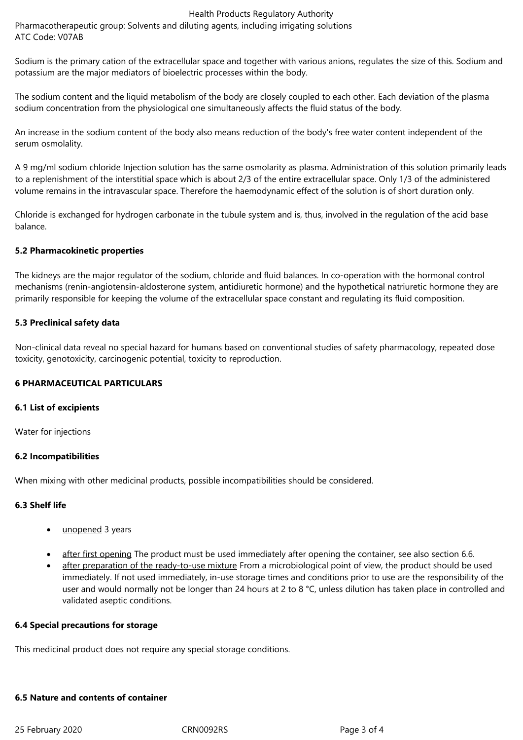# Health Products Regulatory Authority

Pharmacotherapeutic group: Solvents and diluting agents, including irrigating solutions ATC Code: V07AB

Sodium is the primary cation of the extracellular space and together with various anions, regulates the size of this. Sodium and potassium are the major mediators of bioelectric processes within the body.

The sodium content and the liquid metabolism of the body are closely coupled to each other. Each deviation of the plasma sodium concentration from the physiological one simultaneously affects the fluid status of the body.

An increase in the sodium content of the body also means reduction of the body's free water content independent of the serum osmolality.

A 9 mg/ml sodium chloride Injection solution has the same osmolarity as plasma. Administration of this solution primarily leads to a replenishment of the interstitial space which is about 2/3 of the entire extracellular space. Only 1/3 of the administered volume remains in the intravascular space. Therefore the haemodynamic effect of the solution is of short duration only.

Chloride is exchanged for hydrogen carbonate in the tubule system and is, thus, involved in the regulation of the acid base balance.

# **5.2 Pharmacokinetic properties**

The kidneys are the major regulator of the sodium, chloride and fluid balances. In co-operation with the hormonal control mechanisms (renin-angiotensin-aldosterone system, antidiuretic hormone) and the hypothetical natriuretic hormone they are primarily responsible for keeping the volume of the extracellular space constant and regulating its fluid composition.

# **5.3 Preclinical safety data**

Non-clinical data reveal no special hazard for humans based on conventional studies of safety pharmacology, repeated dose toxicity, genotoxicity, carcinogenic potential, toxicity to reproduction.

# **6 PHARMACEUTICAL PARTICULARS**

# **6.1 List of excipients**

Water for injections

# **6.2 Incompatibilities**

When mixing with other medicinal products, possible incompatibilities should be considered.

# **6.3 Shelf life**

- unopened 3 years
- after first opening The product must be used immediately after opening the container, see also section 6.6.
- after preparation of the ready-to-use mixture From a microbiological point of view, the product should be used immediately. If not used immediately, in-use storage times and conditions prior to use are the responsibility of the user and would normally not be longer than 24 hours at 2 to 8 °C, unless dilution has taken place in controlled and validated aseptic conditions.

#### **6.4 Special precautions for storage**

This medicinal product does not require any special storage conditions.

#### **6.5 Nature and contents of container**